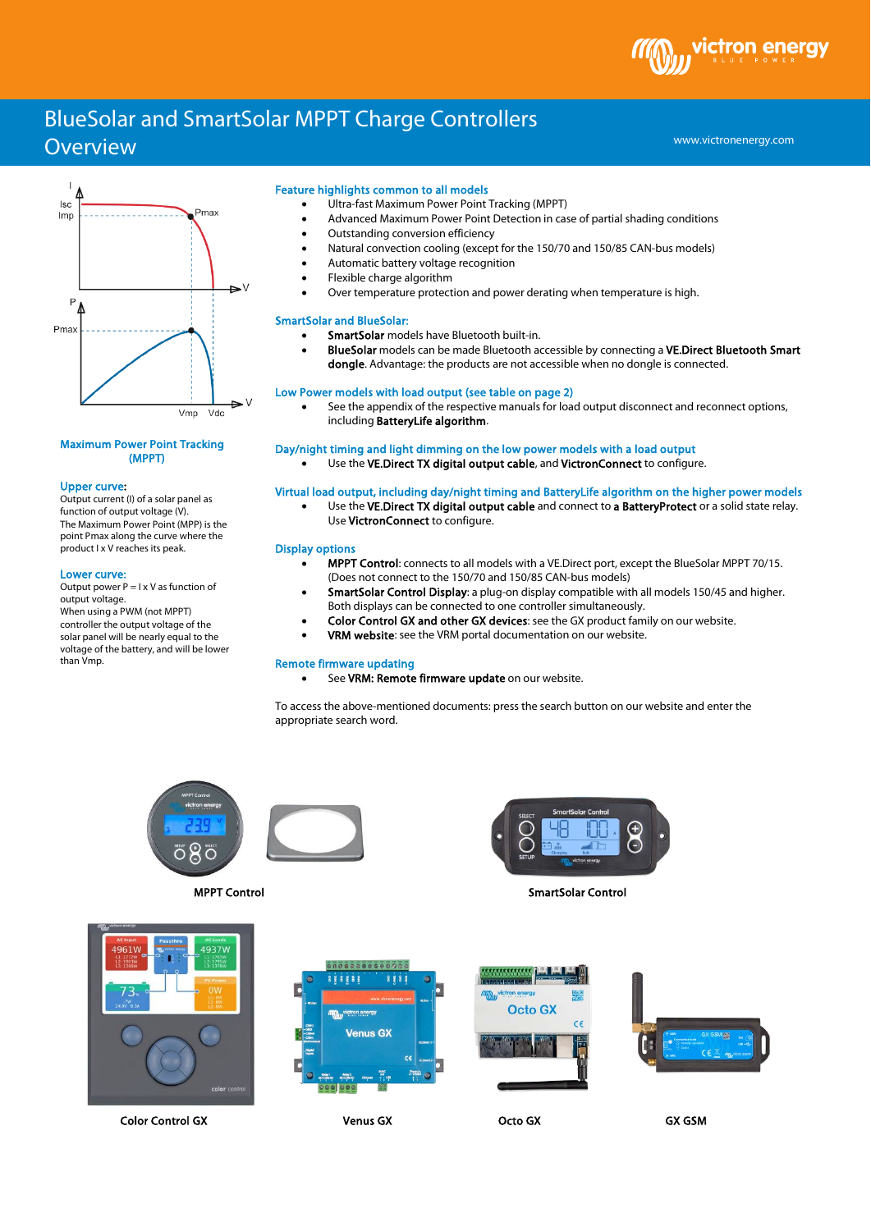# BlueSolar and SmartSolar MPPT Charge Controllers

# **Overview**



# Maximum Power Point Tracking (MPPT)

#### Upper curve:

Output current (I) of a solar panel as function of output voltage (V). The Maximum Power Point (MPP) is the point Pmax along the curve where the product I x V reaches its peak.

#### Lower curve:

Output power  $P = I \times V$  as function of output voltage. When using a PWM (not MPPT) controller the output voltage of the solar panel will be nearly equal to the voltage of the battery, and will be lower than Vmp.

#### Feature highlights common to all models

- Ultra-fast Maximum Power Point Tracking (MPPT)
- Advanced Maximum Power Point Detection in case of partial shading conditions
- Outstanding conversion efficiency
- Natural convection cooling (except for the 150/70 and 150/85 CAN-bus models)
- Automatic battery voltage recognition
- Flexible charge algorithm
- Over temperature protection and power derating when temperature is high.

#### SmartSolar and BlueSolar:

- SmartSolar models have Bluetooth built-in.
- BlueSolar models can be made Bluetooth accessible by connecting a VE.Direct Bluetooth Smart dongle. Advantage: the products are not accessible when no dongle is connected.

# Low Power models with load output (see table on page 2)

See the appendix of the respective manuals for load output disconnect and reconnect options, including BatteryLife algorithm.

## Day/night timing and light dimming on the low power models with a load output

Use the VE.Direct TX digital output cable, and VictronConnect to configure.

# Virtual load output, including day/night timing and BatteryLife algorithm on the higher power models

Use the VE.Direct TX digital output cable and connect to a BatteryProtect or a solid state relay. Use VictronConnect to configure.

## Display options

- MPPT Control: connects to all models with a VE.Direct port, except the BlueSolar MPPT 70/15. (Does not connect to the 150/70 and 150/85 CAN-bus models)
- SmartSolar Control Display: a plug-on display compatible with all models 150/45 and higher. Both displays can be connected to one controller simultaneously.
- Color Control GX and other GX devices: see the GX product family on our website.
- VRM website: see the VRM portal documentation on our website.

#### Remote firmware updating

See VRM: Remote firmware update on our website.

To access the above-mentioned documents: press the search button on our website and enter the appropriate search word.





MPPT Control SmartSolar Control SmartSolar Control SmartSolar Control